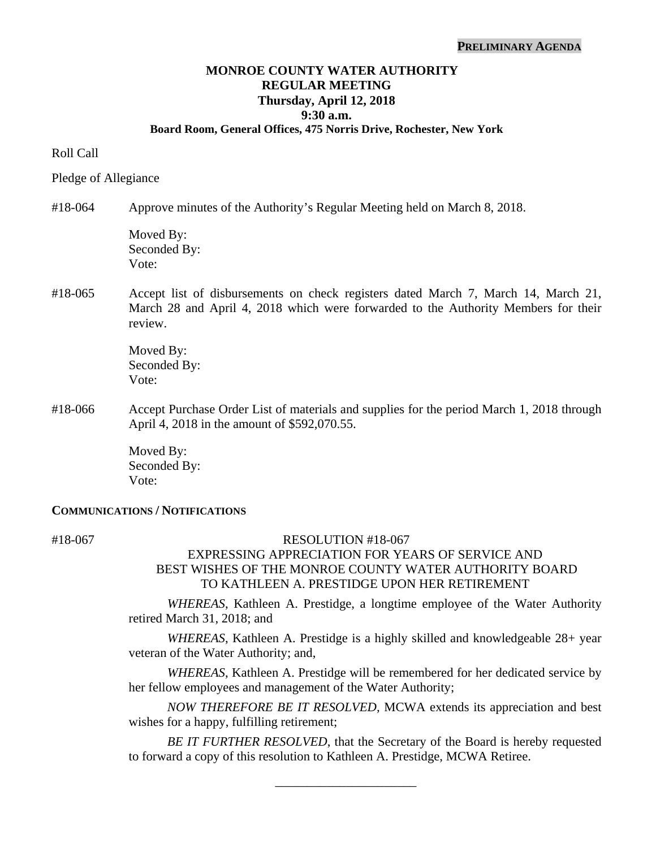# **MONROE COUNTY WATER AUTHORITY REGULAR MEETING Thursday, April 12, 2018 9:30 a.m.**

### **Board Room, General Offices, 475 Norris Drive, Rochester, New York**

### Roll Call

#### Pledge of Allegiance

#18-064 Approve minutes of the Authority's Regular Meeting held on March 8, 2018.

Moved By: Seconded By: Vote:

## #18-065 Accept list of disbursements on check registers dated March 7, March 14, March 21, March 28 and April 4, 2018 which were forwarded to the Authority Members for their review.

 Moved By: Seconded By: Vote:

#18-066 Accept Purchase Order List of materials and supplies for the period March 1, 2018 through April 4, 2018 in the amount of \$592,070.55.

> Moved By: Seconded By: Vote:

#### **COMMUNICATIONS / NOTIFICATIONS**

#### #18-067 RESOLUTION #18-067

# EXPRESSING APPRECIATION FOR YEARS OF SERVICE AND BEST WISHES OF THE MONROE COUNTY WATER AUTHORITY BOARD TO KATHLEEN A. PRESTIDGE UPON HER RETIREMENT

*WHEREAS*, Kathleen A. Prestidge, a longtime employee of the Water Authority retired March 31, 2018; and

*WHEREAS*, Kathleen A. Prestidge is a highly skilled and knowledgeable 28+ year veteran of the Water Authority; and,

*WHEREAS*, Kathleen A. Prestidge will be remembered for her dedicated service by her fellow employees and management of the Water Authority;

*NOW THEREFORE BE IT RESOLVED,* MCWA extends its appreciation and best wishes for a happy, fulfilling retirement;

*BE IT FURTHER RESOLVED*, that the Secretary of the Board is hereby requested to forward a copy of this resolution to Kathleen A. Prestidge, MCWA Retiree.

\_\_\_\_\_\_\_\_\_\_\_\_\_\_\_\_\_\_\_\_\_\_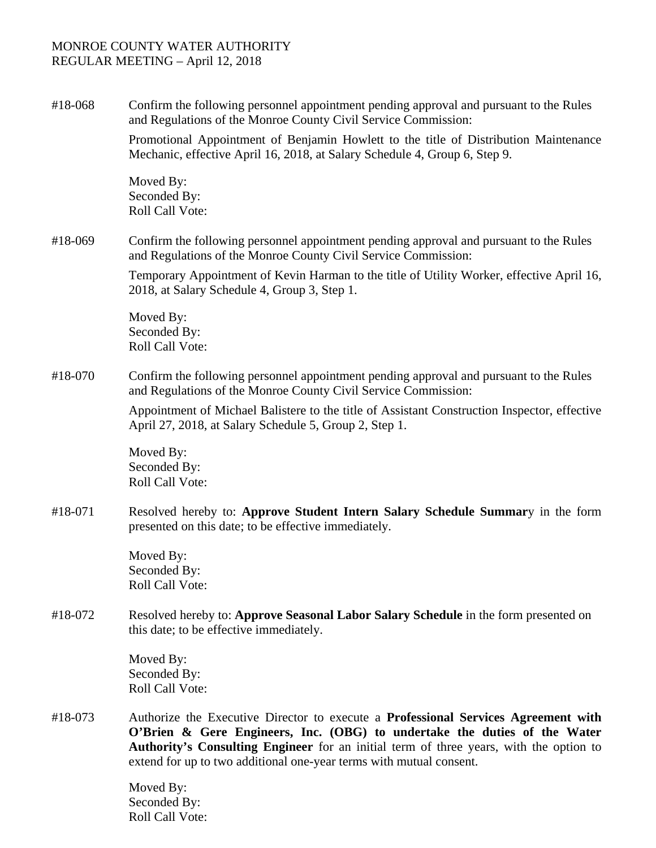#18-068 Confirm the following personnel appointment pending approval and pursuant to the Rules and Regulations of the Monroe County Civil Service Commission:

> Promotional Appointment of Benjamin Howlett to the title of Distribution Maintenance Mechanic, effective April 16, 2018, at Salary Schedule 4, Group 6, Step 9.

Moved By: Seconded By: Roll Call Vote:

#18-069 Confirm the following personnel appointment pending approval and pursuant to the Rules and Regulations of the Monroe County Civil Service Commission:

> Temporary Appointment of Kevin Harman to the title of Utility Worker, effective April 16, 2018, at Salary Schedule 4, Group 3, Step 1.

Moved By: Seconded By: Roll Call Vote:

#18-070 Confirm the following personnel appointment pending approval and pursuant to the Rules and Regulations of the Monroe County Civil Service Commission:

> Appointment of Michael Balistere to the title of Assistant Construction Inspector, effective April 27, 2018, at Salary Schedule 5, Group 2, Step 1.

Moved By: Seconded By: Roll Call Vote:

#18-071 Resolved hereby to: **Approve Student Intern Salary Schedule Summar**y in the form presented on this date; to be effective immediately.

> Moved By: Seconded By: Roll Call Vote:

#18-072 Resolved hereby to: **Approve Seasonal Labor Salary Schedule** in the form presented on this date; to be effective immediately.

> Moved By: Seconded By: Roll Call Vote:

#18-073 Authorize the Executive Director to execute a **Professional Services Agreement with O'Brien & Gere Engineers, Inc. (OBG) to undertake the duties of the Water Authority's Consulting Engineer** for an initial term of three years, with the option to extend for up to two additional one-year terms with mutual consent.

> Moved By: Seconded By: Roll Call Vote: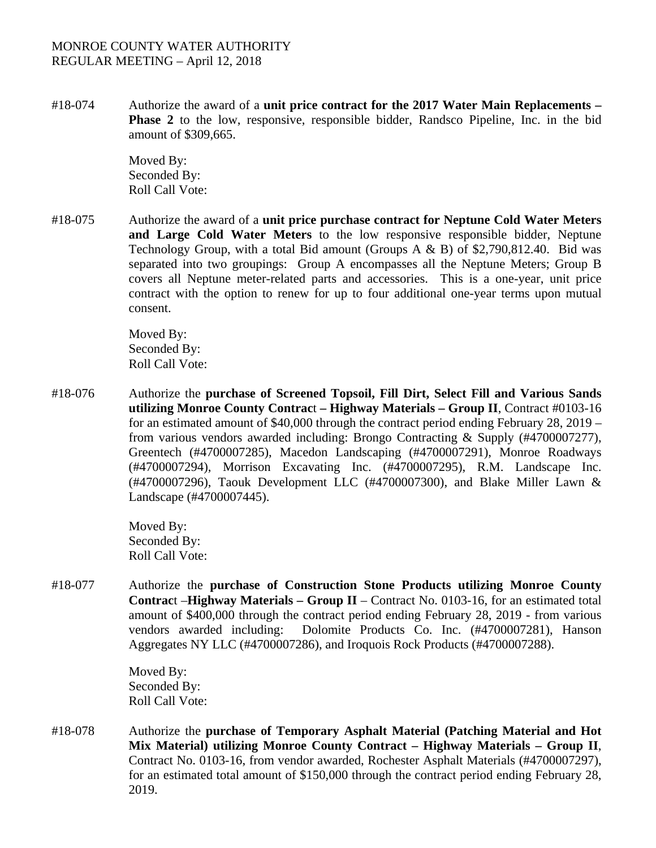#18-074 Authorize the award of a **unit price contract for the 2017 Water Main Replacements – Phase 2** to the low, responsive, responsible bidder, Randsco Pipeline, Inc. in the bid amount of \$309,665.

> Moved By: Seconded By: Roll Call Vote:

#18-075 Authorize the award of a **unit price purchase contract for Neptune Cold Water Meters and Large Cold Water Meters** to the low responsive responsible bidder, Neptune Technology Group, with a total Bid amount (Groups A & B) of \$2,790,812.40. Bid was separated into two groupings: Group A encompasses all the Neptune Meters; Group B covers all Neptune meter-related parts and accessories. This is a one-year, unit price contract with the option to renew for up to four additional one-year terms upon mutual consent.

> Moved By: Seconded By: Roll Call Vote:

#18-076 Authorize the **purchase of Screened Topsoil, Fill Dirt, Select Fill and Various Sands utilizing Monroe County Contrac**t **– Highway Materials – Group II**, Contract #0103-16 for an estimated amount of \$40,000 through the contract period ending February 28, 2019 – from various vendors awarded including: Brongo Contracting & Supply (#4700007277), Greentech (#4700007285), Macedon Landscaping (#4700007291), Monroe Roadways (#4700007294), Morrison Excavating Inc. (#4700007295), R.M. Landscape Inc. (#4700007296), Taouk Development LLC (#4700007300), and Blake Miller Lawn & Landscape (#4700007445).

> Moved By: Seconded By: Roll Call Vote:

#18-077 Authorize the **purchase of Construction Stone Products utilizing Monroe County Contrac**t –**Highway Materials – Group II** – Contract No. 0103-16, for an estimated total amount of \$400,000 through the contract period ending February 28, 2019 - from various vendors awarded including: Dolomite Products Co. Inc. (#4700007281), Hanson Aggregates NY LLC (#4700007286), and Iroquois Rock Products (#4700007288).

> Moved By: Seconded By: Roll Call Vote:

#18-078 Authorize the **purchase of Temporary Asphalt Material (Patching Material and Hot Mix Material) utilizing Monroe County Contract – Highway Materials – Group II**, Contract No. 0103-16, from vendor awarded, Rochester Asphalt Materials (#4700007297), for an estimated total amount of \$150,000 through the contract period ending February 28, 2019.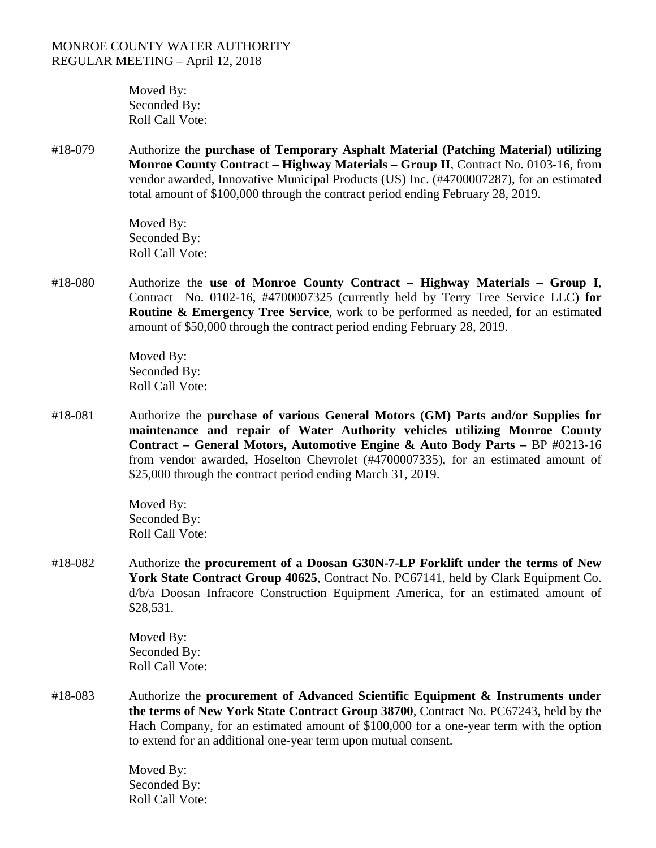Moved By: Seconded By: Roll Call Vote:

#18-079 Authorize the **purchase of Temporary Asphalt Material (Patching Material) utilizing Monroe County Contract – Highway Materials – Group II**, Contract No. 0103-16, from vendor awarded, Innovative Municipal Products (US) Inc. (#4700007287), for an estimated total amount of \$100,000 through the contract period ending February 28, 2019.

> Moved By: Seconded By: Roll Call Vote:

#18-080 Authorize the **use of Monroe County Contract – Highway Materials – Group I**, Contract No. 0102-16, #4700007325 (currently held by Terry Tree Service LLC) **for Routine & Emergency Tree Service**, work to be performed as needed, for an estimated amount of \$50,000 through the contract period ending February 28, 2019.

> Moved By: Seconded By: Roll Call Vote:

#18-081 Authorize the **purchase of various General Motors (GM) Parts and/or Supplies for maintenance and repair of Water Authority vehicles utilizing Monroe County Contract – General Motors, Automotive Engine & Auto Body Parts –** BP #0213-16 from vendor awarded, Hoselton Chevrolet (#4700007335), for an estimated amount of \$25,000 through the contract period ending March 31, 2019.

> Moved By: Seconded By: Roll Call Vote:

#18-082 Authorize the **procurement of a Doosan G30N-7-LP Forklift under the terms of New York State Contract Group 40625**, Contract No. PC67141, held by Clark Equipment Co. d/b/a Doosan Infracore Construction Equipment America, for an estimated amount of \$28,531.

> Moved By: Seconded By: Roll Call Vote:

#18-083 Authorize the **procurement of Advanced Scientific Equipment & Instruments under the terms of New York State Contract Group 38700**, Contract No. PC67243, held by the Hach Company, for an estimated amount of \$100,000 for a one-year term with the option to extend for an additional one-year term upon mutual consent.

> Moved By: Seconded By: Roll Call Vote: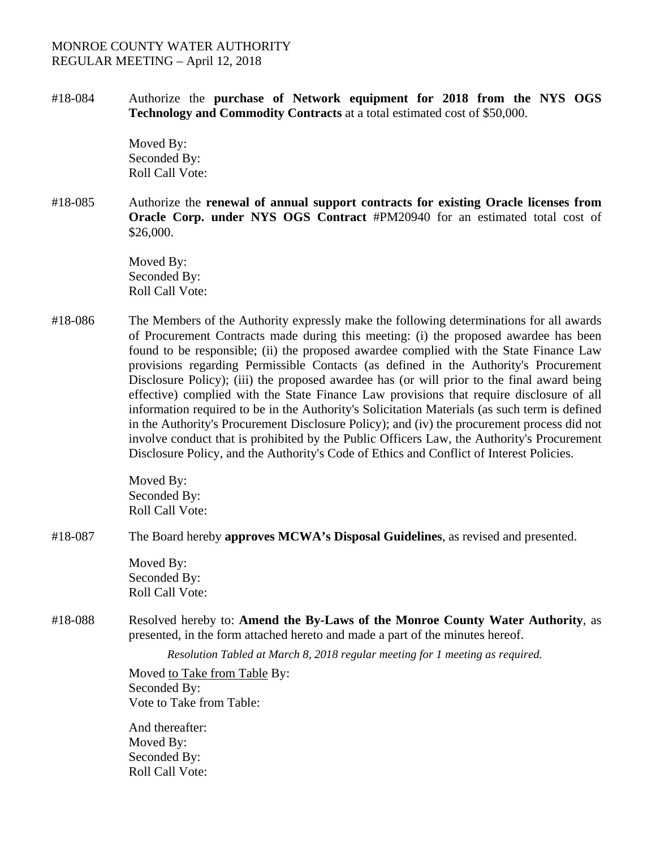#18-084Authorize the **purchase of Network equipment for 2018 from the NYS OGS Technology and Commodity Contracts** at a total estimated cost of \$50,000.

> Moved By: Seconded By: Roll Call Vote:

#18-085 Authorize the **renewal of annual support contracts for existing Oracle licenses from Oracle Corp. under NYS OGS Contract** #PM20940 for an estimated total cost of \$26,000.

> Moved By: Seconded By: Roll Call Vote:

#18-086 The Members of the Authority expressly make the following determinations for all awards of Procurement Contracts made during this meeting: (i) the proposed awardee has been found to be responsible; (ii) the proposed awardee complied with the State Finance Law provisions regarding Permissible Contacts (as defined in the Authority's Procurement Disclosure Policy); (iii) the proposed awardee has (or will prior to the final award being effective) complied with the State Finance Law provisions that require disclosure of all information required to be in the Authority's Solicitation Materials (as such term is defined in the Authority's Procurement Disclosure Policy); and (iv) the procurement process did not involve conduct that is prohibited by the Public Officers Law, the Authority's Procurement Disclosure Policy, and the Authority's Code of Ethics and Conflict of Interest Policies.

> Moved By: Seconded By: Roll Call Vote:

#18-087 The Board hereby **approves MCWA's Disposal Guidelines**, as revised and presented.

Moved By: Seconded By: Roll Call Vote:

#18-088 Resolved hereby to: **Amend the By-Laws of the Monroe County Water Authority**, as presented, in the form attached hereto and made a part of the minutes hereof.

*Resolution Tabled at March 8, 2018 regular meeting for 1 meeting as required.* 

Moved to Take from Table By: Seconded By: Vote to Take from Table:

And thereafter: Moved By: Seconded By: Roll Call Vote: